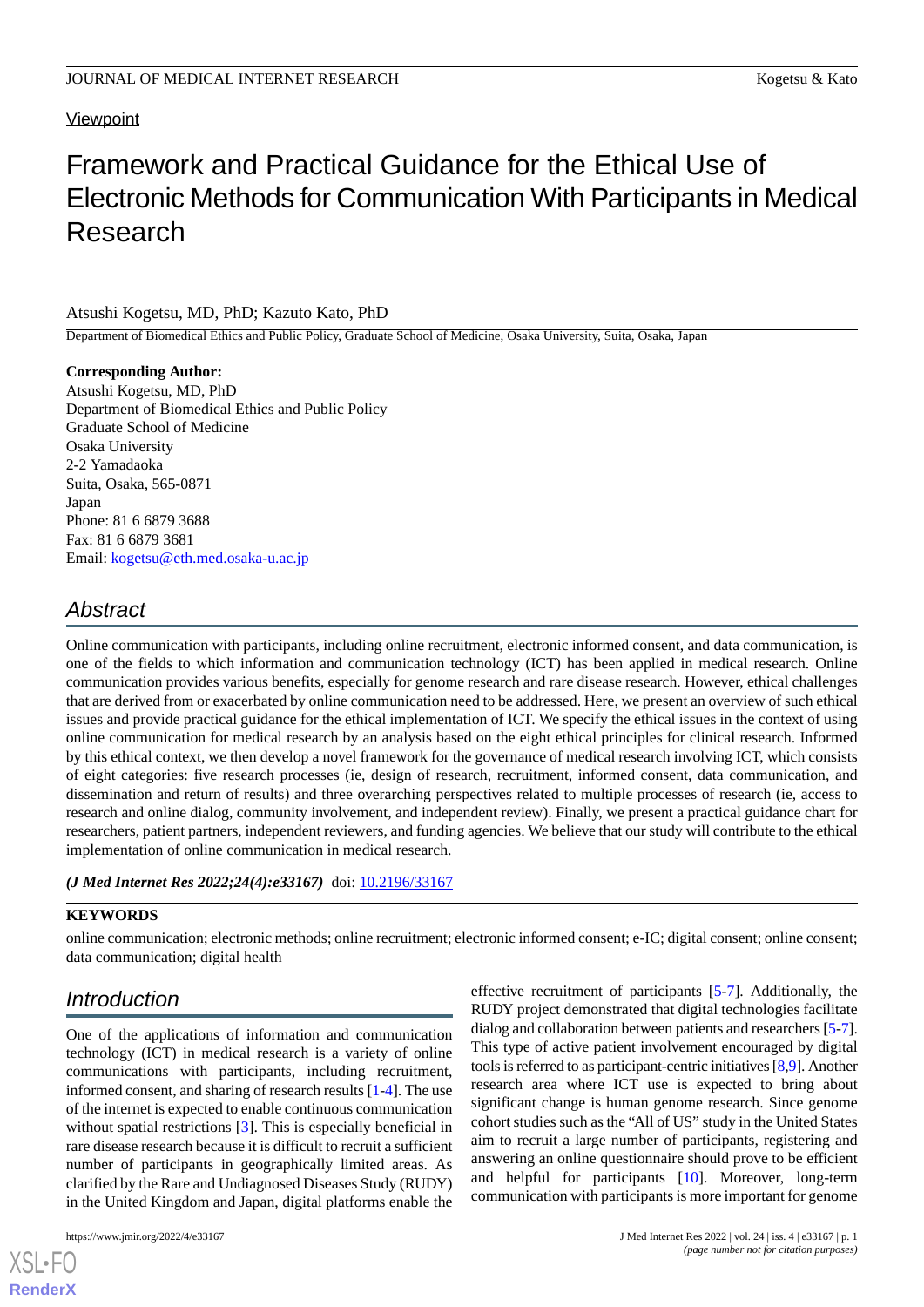### **Viewpoint**

# Framework and Practical Guidance for the Ethical Use of Electronic Methods for Communication With Participants in Medical Research

#### Atsushi Kogetsu, MD, PhD; Kazuto Kato, PhD

Department of Biomedical Ethics and Public Policy, Graduate School of Medicine, Osaka University, Suita, Osaka, Japan

### **Corresponding Author:**

Atsushi Kogetsu, MD, PhD Department of Biomedical Ethics and Public Policy Graduate School of Medicine Osaka University 2-2 Yamadaoka Suita, Osaka, 565-0871 Japan Phone: 81 6 6879 3688 Fax: 81 6 6879 3681 Email: [kogetsu@eth.med.osaka-u.ac.jp](mailto:kogetsu@eth.med.osaka-u.ac.jp)

## *Abstract*

Online communication with participants, including online recruitment, electronic informed consent, and data communication, is one of the fields to which information and communication technology (ICT) has been applied in medical research. Online communication provides various benefits, especially for genome research and rare disease research. However, ethical challenges that are derived from or exacerbated by online communication need to be addressed. Here, we present an overview of such ethical issues and provide practical guidance for the ethical implementation of ICT. We specify the ethical issues in the context of using online communication for medical research by an analysis based on the eight ethical principles for clinical research. Informed by this ethical context, we then develop a novel framework for the governance of medical research involving ICT, which consists of eight categories: five research processes (ie, design of research, recruitment, informed consent, data communication, and dissemination and return of results) and three overarching perspectives related to multiple processes of research (ie, access to research and online dialog, community involvement, and independent review). Finally, we present a practical guidance chart for researchers, patient partners, independent reviewers, and funding agencies. We believe that our study will contribute to the ethical implementation of online communication in medical research.

#### *(J Med Internet Res 2022;24(4):e33167)* doi:  $10.2196/33167$

#### **KEYWORDS**

online communication; electronic methods; online recruitment; electronic informed consent; e-IC; digital consent; online consent; data communication; digital health

## *Introduction*

One of the applications of information and communication technology (ICT) in medical research is a variety of online communications with participants, including recruitment, informed consent, and sharing of research results [[1](#page-5-0)[-4](#page-5-1)]. The use of the internet is expected to enable continuous communication without spatial restrictions [\[3](#page-5-2)]. This is especially beneficial in rare disease research because it is difficult to recruit a sufficient number of participants in geographically limited areas. As clarified by the Rare and Undiagnosed Diseases Study (RUDY) in the United Kingdom and Japan, digital platforms enable the

[XSL](http://www.w3.org/Style/XSL)•FO **[RenderX](http://www.renderx.com/)**

effective recruitment of participants [\[5](#page-5-3)[-7](#page-5-4)]. Additionally, the RUDY project demonstrated that digital technologies facilitate dialog and collaboration between patients and researchers [[5-](#page-5-3)[7](#page-5-4)]. This type of active patient involvement encouraged by digital tools is referred to as participant-centric initiatives [\[8](#page-5-5)[,9](#page-5-6)]. Another research area where ICT use is expected to bring about significant change is human genome research. Since genome cohort studies such as the "All of US" study in the United States aim to recruit a large number of participants, registering and answering an online questionnaire should prove to be efficient and helpful for participants [\[10](#page-5-7)]. Moreover, long-term communication with participants is more important for genome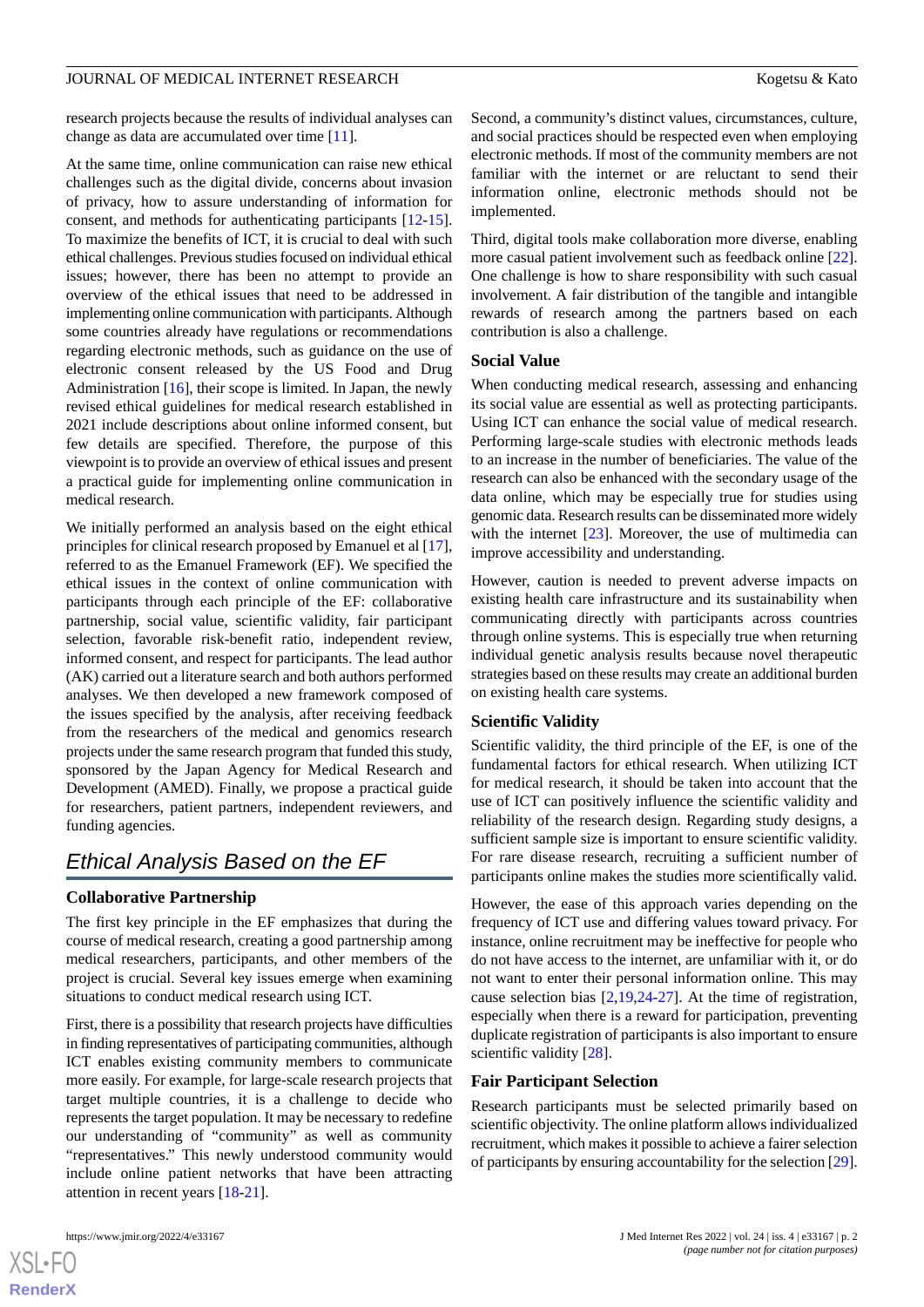#### JOURNAL OF MEDICAL INTERNET RESEARCH KOGETSU AND THE RESEARCH Kogetsu & Kato

research projects because the results of individual analyses can change as data are accumulated over time [[11\]](#page-5-8).

At the same time, online communication can raise new ethical challenges such as the digital divide, concerns about invasion of privacy, how to assure understanding of information for consent, and methods for authenticating participants [\[12](#page-5-9)-[15\]](#page-5-10). To maximize the benefits of ICT, it is crucial to deal with such ethical challenges. Previous studies focused on individual ethical issues; however, there has been no attempt to provide an overview of the ethical issues that need to be addressed in implementing online communication with participants. Although some countries already have regulations or recommendations regarding electronic methods, such as guidance on the use of electronic consent released by the US Food and Drug Administration [[16\]](#page-6-0), their scope is limited. In Japan, the newly revised ethical guidelines for medical research established in 2021 include descriptions about online informed consent, but few details are specified. Therefore, the purpose of this viewpoint is to provide an overview of ethical issues and present a practical guide for implementing online communication in medical research.

We initially performed an analysis based on the eight ethical principles for clinical research proposed by Emanuel et al [[17\]](#page-6-1), referred to as the Emanuel Framework (EF). We specified the ethical issues in the context of online communication with participants through each principle of the EF: collaborative partnership, social value, scientific validity, fair participant selection, favorable risk-benefit ratio, independent review, informed consent, and respect for participants. The lead author (AK) carried out a literature search and both authors performed analyses. We then developed a new framework composed of the issues specified by the analysis, after receiving feedback from the researchers of the medical and genomics research projects under the same research program that funded this study, sponsored by the Japan Agency for Medical Research and Development (AMED). Finally, we propose a practical guide for researchers, patient partners, independent reviewers, and funding agencies.

## *Ethical Analysis Based on the EF*

#### **Collaborative Partnership**

The first key principle in the EF emphasizes that during the course of medical research, creating a good partnership among medical researchers, participants, and other members of the project is crucial. Several key issues emerge when examining situations to conduct medical research using ICT.

First, there is a possibility that research projects have difficulties in finding representatives of participating communities, although ICT enables existing community members to communicate more easily. For example, for large-scale research projects that target multiple countries, it is a challenge to decide who represents the target population. It may be necessary to redefine our understanding of "community" as well as community "representatives." This newly understood community would include online patient networks that have been attracting attention in recent years [\[18](#page-6-2)-[21\]](#page-6-3).

 $XS$ -FO **[RenderX](http://www.renderx.com/)** Second, a community's distinct values, circumstances, culture, and social practices should be respected even when employing electronic methods. If most of the community members are not familiar with the internet or are reluctant to send their information online, electronic methods should not be implemented.

Third, digital tools make collaboration more diverse, enabling more casual patient involvement such as feedback online [[22\]](#page-6-4). One challenge is how to share responsibility with such casual involvement. A fair distribution of the tangible and intangible rewards of research among the partners based on each contribution is also a challenge.

#### **Social Value**

When conducting medical research, assessing and enhancing its social value are essential as well as protecting participants. Using ICT can enhance the social value of medical research. Performing large-scale studies with electronic methods leads to an increase in the number of beneficiaries. The value of the research can also be enhanced with the secondary usage of the data online, which may be especially true for studies using genomic data. Research results can be disseminated more widely with the internet [\[23](#page-6-5)]. Moreover, the use of multimedia can improve accessibility and understanding.

However, caution is needed to prevent adverse impacts on existing health care infrastructure and its sustainability when communicating directly with participants across countries through online systems. This is especially true when returning individual genetic analysis results because novel therapeutic strategies based on these results may create an additional burden on existing health care systems.

#### **Scientific Validity**

Scientific validity, the third principle of the EF, is one of the fundamental factors for ethical research. When utilizing ICT for medical research, it should be taken into account that the use of ICT can positively influence the scientific validity and reliability of the research design. Regarding study designs, a sufficient sample size is important to ensure scientific validity. For rare disease research, recruiting a sufficient number of participants online makes the studies more scientifically valid.

However, the ease of this approach varies depending on the frequency of ICT use and differing values toward privacy. For instance, online recruitment may be ineffective for people who do not have access to the internet, are unfamiliar with it, or do not want to enter their personal information online. This may cause selection bias [[2](#page-5-11)[,19](#page-6-6),[24-](#page-6-7)[27](#page-6-8)]. At the time of registration, especially when there is a reward for participation, preventing duplicate registration of participants is also important to ensure scientific validity [[28\]](#page-6-9).

#### **Fair Participant Selection**

Research participants must be selected primarily based on scientific objectivity. The online platform allows individualized recruitment, which makes it possible to achieve a fairer selection of participants by ensuring accountability for the selection [\[29\]](#page-6-10).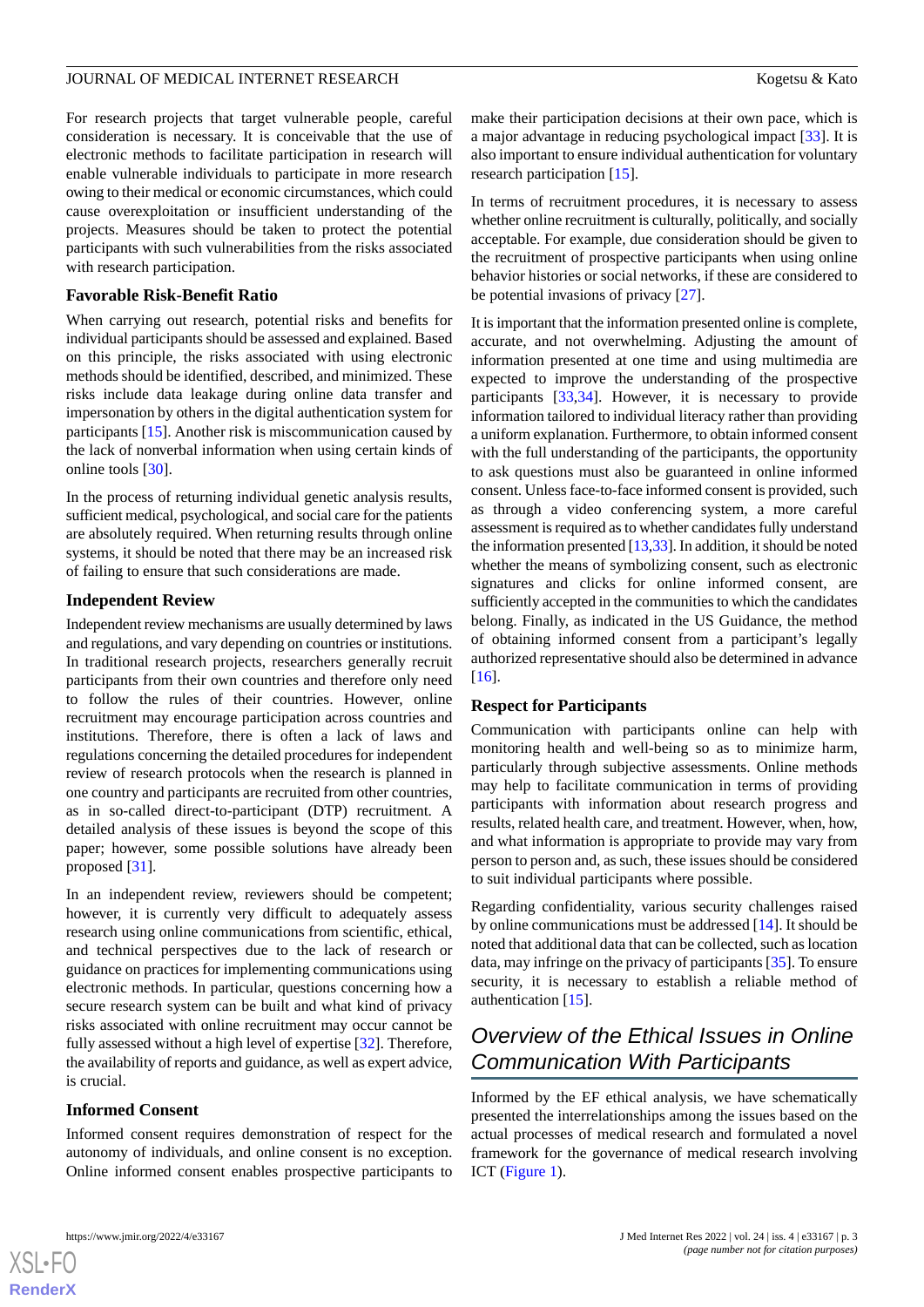#### JOURNAL OF MEDICAL INTERNET RESEARCH **Kogetsu & Kato**

For research projects that target vulnerable people, careful consideration is necessary. It is conceivable that the use of electronic methods to facilitate participation in research will enable vulnerable individuals to participate in more research owing to their medical or economic circumstances, which could cause overexploitation or insufficient understanding of the projects. Measures should be taken to protect the potential participants with such vulnerabilities from the risks associated with research participation.

#### **Favorable Risk-Benefit Ratio**

When carrying out research, potential risks and benefits for individual participants should be assessed and explained. Based on this principle, the risks associated with using electronic methods should be identified, described, and minimized. These risks include data leakage during online data transfer and impersonation by others in the digital authentication system for participants [[15\]](#page-5-10). Another risk is miscommunication caused by the lack of nonverbal information when using certain kinds of online tools [\[30](#page-6-11)].

In the process of returning individual genetic analysis results, sufficient medical, psychological, and social care for the patients are absolutely required. When returning results through online systems, it should be noted that there may be an increased risk of failing to ensure that such considerations are made.

#### **Independent Review**

Independent review mechanisms are usually determined by laws and regulations, and vary depending on countries or institutions. In traditional research projects, researchers generally recruit participants from their own countries and therefore only need to follow the rules of their countries. However, online recruitment may encourage participation across countries and institutions. Therefore, there is often a lack of laws and regulations concerning the detailed procedures for independent review of research protocols when the research is planned in one country and participants are recruited from other countries, as in so-called direct-to-participant (DTP) recruitment. A detailed analysis of these issues is beyond the scope of this paper; however, some possible solutions have already been proposed [\[31](#page-6-12)].

In an independent review, reviewers should be competent; however, it is currently very difficult to adequately assess research using online communications from scientific, ethical, and technical perspectives due to the lack of research or guidance on practices for implementing communications using electronic methods. In particular, questions concerning how a secure research system can be built and what kind of privacy risks associated with online recruitment may occur cannot be fully assessed without a high level of expertise [[32\]](#page-6-13). Therefore, the availability of reports and guidance, as well as expert advice, is crucial.

#### **Informed Consent**

Informed consent requires demonstration of respect for the autonomy of individuals, and online consent is no exception. Online informed consent enables prospective participants to

make their participation decisions at their own pace, which is a major advantage in reducing psychological impact [[33\]](#page-6-14). It is also important to ensure individual authentication for voluntary research participation [[15\]](#page-5-10).

In terms of recruitment procedures, it is necessary to assess whether online recruitment is culturally, politically, and socially acceptable. For example, due consideration should be given to the recruitment of prospective participants when using online behavior histories or social networks, if these are considered to be potential invasions of privacy [[27\]](#page-6-8).

It is important that the information presented online is complete, accurate, and not overwhelming. Adjusting the amount of information presented at one time and using multimedia are expected to improve the understanding of the prospective participants [[33](#page-6-14)[,34](#page-6-15)]. However, it is necessary to provide information tailored to individual literacy rather than providing a uniform explanation. Furthermore, to obtain informed consent with the full understanding of the participants, the opportunity to ask questions must also be guaranteed in online informed consent. Unless face-to-face informed consent is provided, such as through a video conferencing system, a more careful assessment is required as to whether candidates fully understand the information presented [\[13](#page-5-12)[,33](#page-6-14)]. In addition, it should be noted whether the means of symbolizing consent, such as electronic signatures and clicks for online informed consent, are sufficiently accepted in the communities to which the candidates belong. Finally, as indicated in the US Guidance, the method of obtaining informed consent from a participant's legally authorized representative should also be determined in advance [[16\]](#page-6-0).

#### **Respect for Participants**

Communication with participants online can help with monitoring health and well-being so as to minimize harm, particularly through subjective assessments. Online methods may help to facilitate communication in terms of providing participants with information about research progress and results, related health care, and treatment. However, when, how, and what information is appropriate to provide may vary from person to person and, as such, these issues should be considered to suit individual participants where possible.

Regarding confidentiality, various security challenges raised by online communications must be addressed [[14\]](#page-5-13). It should be noted that additional data that can be collected, such as location data, may infringe on the privacy of participants [[35\]](#page-6-16). To ensure security, it is necessary to establish a reliable method of authentication [\[15](#page-5-10)].

## *Overview of the Ethical Issues in Online Communication With Participants*

Informed by the EF ethical analysis, we have schematically presented the interrelationships among the issues based on the actual processes of medical research and formulated a novel framework for the governance of medical research involving ICT ([Figure 1](#page-3-0)).

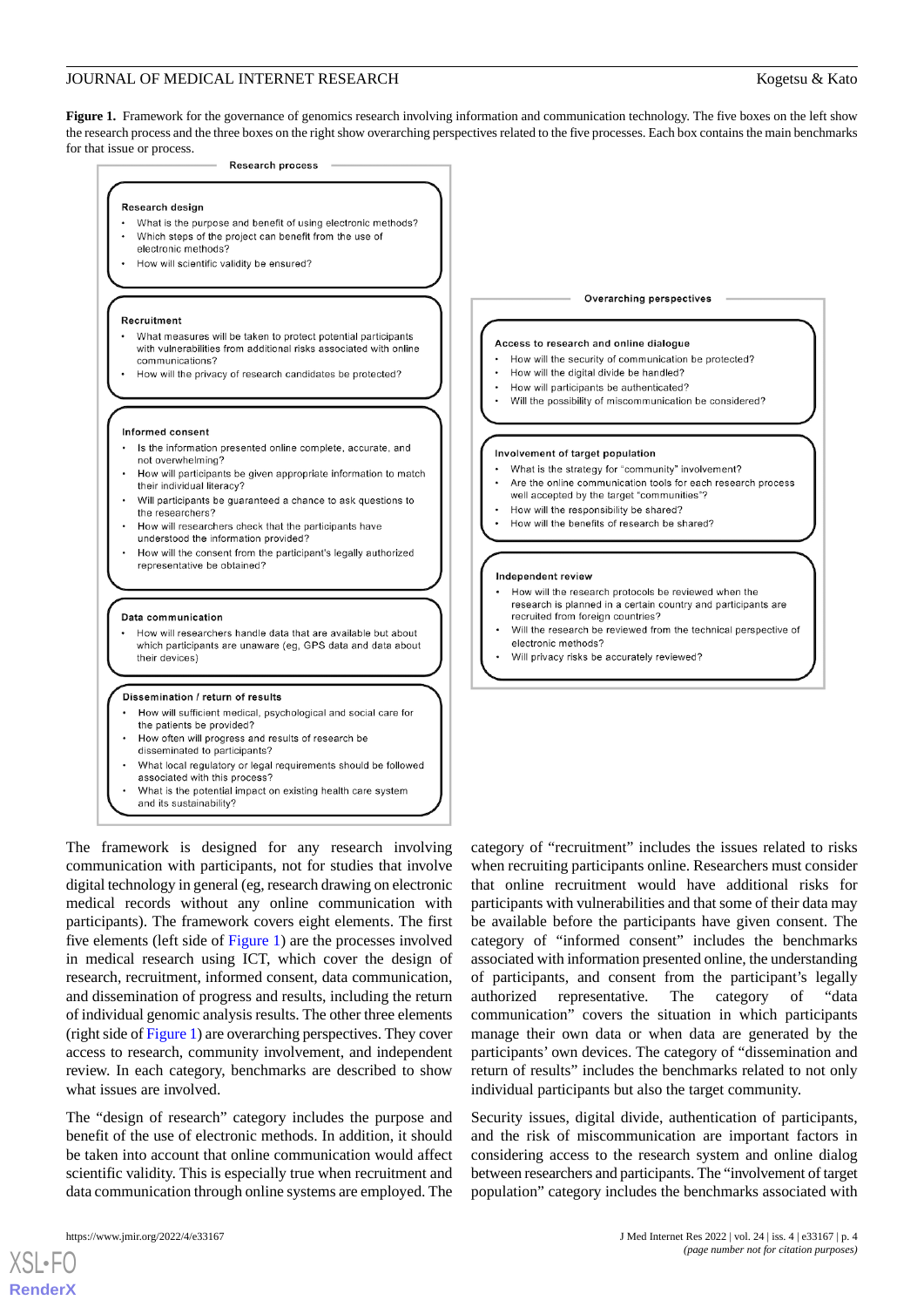#### JOURNAL OF MEDICAL INTERNET RESEARCH **Kogetsu & Kato**

<span id="page-3-0"></span>Figure 1. Framework for the governance of genomics research involving information and communication technology. The five boxes on the left show the research process and the three boxes on the right show overarching perspectives related to the five processes. Each box contains the main benchmarks for that issue or process.



The framework is designed for any research involving communication with participants, not for studies that involve digital technology in general (eg, research drawing on electronic medical records without any online communication with participants). The framework covers eight elements. The first five elements (left side of [Figure 1\)](#page-3-0) are the processes involved in medical research using ICT, which cover the design of research, recruitment, informed consent, data communication, and dissemination of progress and results, including the return of individual genomic analysis results. The other three elements (right side of [Figure 1](#page-3-0)) are overarching perspectives. They cover access to research, community involvement, and independent review. In each category, benchmarks are described to show what issues are involved.

The "design of research" category includes the purpose and benefit of the use of electronic methods. In addition, it should be taken into account that online communication would affect scientific validity. This is especially true when recruitment and data communication through online systems are employed. The

[XSL](http://www.w3.org/Style/XSL)•FO **[RenderX](http://www.renderx.com/)**

category of "recruitment" includes the issues related to risks when recruiting participants online. Researchers must consider that online recruitment would have additional risks for participants with vulnerabilities and that some of their data may be available before the participants have given consent. The category of "informed consent" includes the benchmarks associated with information presented online, the understanding of participants, and consent from the participant's legally authorized representative. The category of "data communication" covers the situation in which participants manage their own data or when data are generated by the participants' own devices. The category of "dissemination and return of results" includes the benchmarks related to not only individual participants but also the target community.

Security issues, digital divide, authentication of participants, and the risk of miscommunication are important factors in considering access to the research system and online dialog between researchers and participants. The "involvement of target population" category includes the benchmarks associated with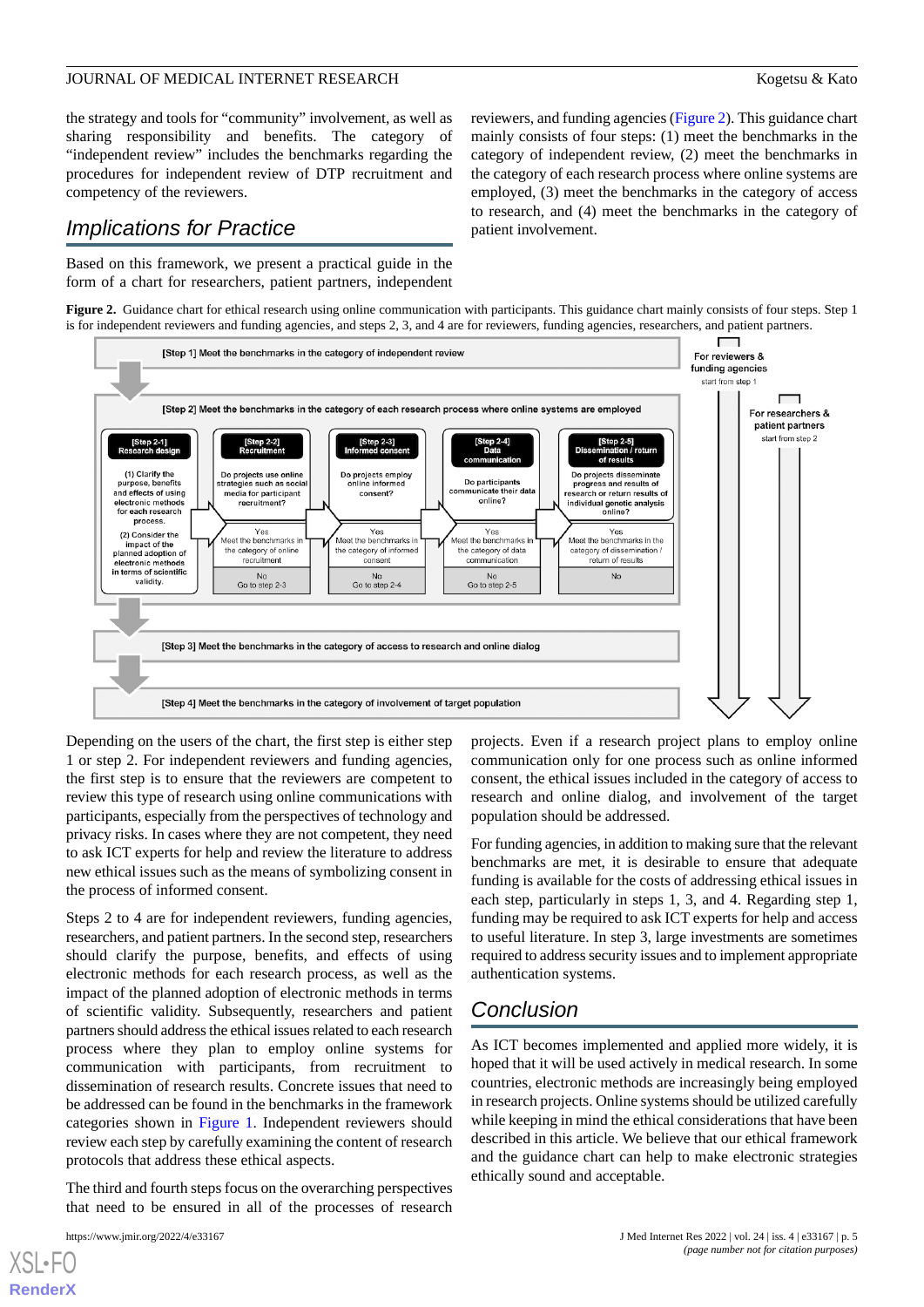#### JOURNAL OF MEDICAL INTERNET RESEARCH **Kogetsu & Kato**

the strategy and tools for "community" involvement, as well as sharing responsibility and benefits. The category of "independent review" includes the benchmarks regarding the procedures for independent review of DTP recruitment and competency of the reviewers.

## *Implications for Practice*

<span id="page-4-0"></span>Based on this framework, we present a practical guide in the form of a chart for researchers, patient partners, independent reviewers, and funding agencies ([Figure 2\)](#page-4-0). This guidance chart mainly consists of four steps: (1) meet the benchmarks in the category of independent review, (2) meet the benchmarks in the category of each research process where online systems are employed, (3) meet the benchmarks in the category of access to research, and (4) meet the benchmarks in the category of patient involvement.

**Figure 2.** Guidance chart for ethical research using online communication with participants. This guidance chart mainly consists of four steps. Step 1 is for independent reviewers and funding agencies, and steps 2, 3, and 4 are for reviewers, funding agencies, researchers, and patient partners.



Depending on the users of the chart, the first step is either step 1 or step 2. For independent reviewers and funding agencies, the first step is to ensure that the reviewers are competent to review this type of research using online communications with participants, especially from the perspectives of technology and privacy risks. In cases where they are not competent, they need to ask ICT experts for help and review the literature to address new ethical issues such as the means of symbolizing consent in the process of informed consent.

Steps 2 to 4 are for independent reviewers, funding agencies, researchers, and patient partners. In the second step, researchers should clarify the purpose, benefits, and effects of using electronic methods for each research process, as well as the impact of the planned adoption of electronic methods in terms of scientific validity. Subsequently, researchers and patient partners should address the ethical issues related to each research process where they plan to employ online systems for communication with participants, from recruitment to dissemination of research results. Concrete issues that need to be addressed can be found in the benchmarks in the framework categories shown in [Figure 1](#page-3-0). Independent reviewers should review each step by carefully examining the content of research protocols that address these ethical aspects.

The third and fourth steps focus on the overarching perspectives that need to be ensured in all of the processes of research

[XSL](http://www.w3.org/Style/XSL)•FO **[RenderX](http://www.renderx.com/)** projects. Even if a research project plans to employ online communication only for one process such as online informed consent, the ethical issues included in the category of access to research and online dialog, and involvement of the target population should be addressed.

For funding agencies, in addition to making sure that the relevant benchmarks are met, it is desirable to ensure that adequate funding is available for the costs of addressing ethical issues in each step, particularly in steps 1, 3, and 4. Regarding step 1, funding may be required to ask ICT experts for help and access to useful literature. In step 3, large investments are sometimes required to address security issues and to implement appropriate authentication systems.

## *Conclusion*

As ICT becomes implemented and applied more widely, it is hoped that it will be used actively in medical research. In some countries, electronic methods are increasingly being employed in research projects. Online systems should be utilized carefully while keeping in mind the ethical considerations that have been described in this article. We believe that our ethical framework and the guidance chart can help to make electronic strategies ethically sound and acceptable.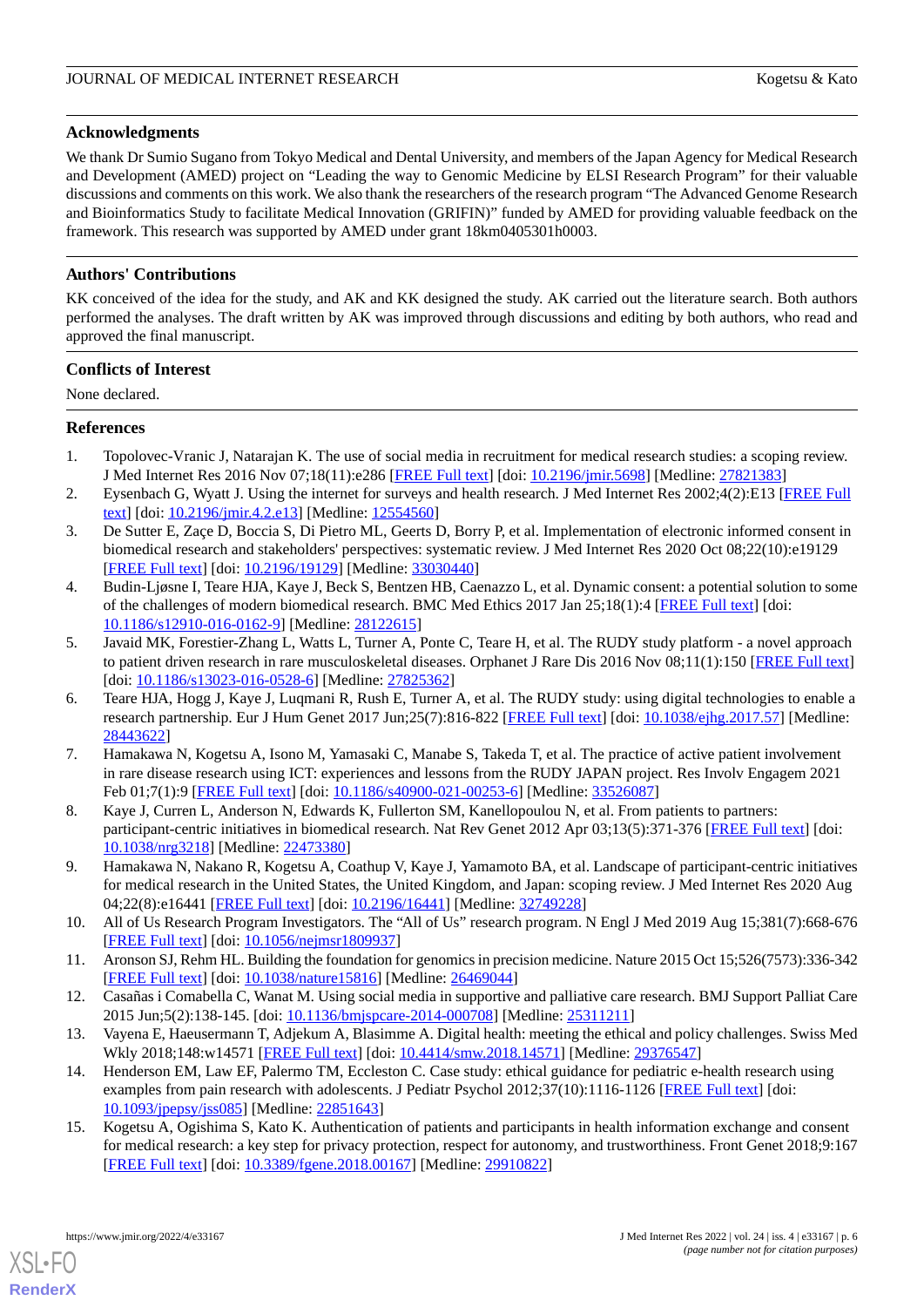#### **Acknowledgments**

We thank Dr Sumio Sugano from Tokyo Medical and Dental University, and members of the Japan Agency for Medical Research and Development (AMED) project on "Leading the way to Genomic Medicine by ELSI Research Program" for their valuable discussions and comments on this work. We also thank the researchers of the research program "The Advanced Genome Research and Bioinformatics Study to facilitate Medical Innovation (GRIFIN)" funded by AMED for providing valuable feedback on the framework. This research was supported by AMED under grant 18km0405301h0003.

#### **Authors' Contributions**

KK conceived of the idea for the study, and AK and KK designed the study. AK carried out the literature search. Both authors performed the analyses. The draft written by AK was improved through discussions and editing by both authors, who read and approved the final manuscript.

#### **Conflicts of Interest**

<span id="page-5-0"></span>None declared.

#### **References**

- <span id="page-5-11"></span>1. Topolovec-Vranic J, Natarajan K. The use of social media in recruitment for medical research studies: a scoping review. J Med Internet Res 2016 Nov 07;18(11):e286 [\[FREE Full text\]](https://www.jmir.org/2016/11/e286/) [doi: [10.2196/jmir.5698\]](http://dx.doi.org/10.2196/jmir.5698) [Medline: [27821383\]](http://www.ncbi.nlm.nih.gov/entrez/query.fcgi?cmd=Retrieve&db=PubMed&list_uids=27821383&dopt=Abstract)
- <span id="page-5-2"></span>2. Eysenbach G, Wyatt J. Using the internet for surveys and health research. J Med Internet Res 2002;4(2):E13 [\[FREE Full](https://www.jmir.org/2002/2/e13/) [text](https://www.jmir.org/2002/2/e13/)] [doi: [10.2196/jmir.4.2.e13\]](http://dx.doi.org/10.2196/jmir.4.2.e13) [Medline: [12554560\]](http://www.ncbi.nlm.nih.gov/entrez/query.fcgi?cmd=Retrieve&db=PubMed&list_uids=12554560&dopt=Abstract)
- <span id="page-5-1"></span>3. De Sutter E, Zaçe D, Boccia S, Di Pietro ML, Geerts D, Borry P, et al. Implementation of electronic informed consent in biomedical research and stakeholders' perspectives: systematic review. J Med Internet Res 2020 Oct 08;22(10):e19129 [[FREE Full text](https://www.jmir.org/2020/10/e19129/)] [doi: [10.2196/19129\]](http://dx.doi.org/10.2196/19129) [Medline: [33030440\]](http://www.ncbi.nlm.nih.gov/entrez/query.fcgi?cmd=Retrieve&db=PubMed&list_uids=33030440&dopt=Abstract)
- <span id="page-5-3"></span>4. Budin-Ljøsne I, Teare HJA, Kaye J, Beck S, Bentzen HB, Caenazzo L, et al. Dynamic consent: a potential solution to some of the challenges of modern biomedical research. BMC Med Ethics 2017 Jan 25;18(1):4 [\[FREE Full text\]](https://bmcmedethics.biomedcentral.com/articles/10.1186/s12910-016-0162-9) [doi: [10.1186/s12910-016-0162-9\]](http://dx.doi.org/10.1186/s12910-016-0162-9) [Medline: [28122615](http://www.ncbi.nlm.nih.gov/entrez/query.fcgi?cmd=Retrieve&db=PubMed&list_uids=28122615&dopt=Abstract)]
- 5. Javaid MK, Forestier-Zhang L, Watts L, Turner A, Ponte C, Teare H, et al. The RUDY study platform a novel approach to patient driven research in rare musculoskeletal diseases. Orphanet J Rare Dis 2016 Nov 08;11(1):150 [[FREE Full text](https://ojrd.biomedcentral.com/articles/10.1186/s13023-016-0528-6)] [doi: [10.1186/s13023-016-0528-6](http://dx.doi.org/10.1186/s13023-016-0528-6)] [Medline: [27825362\]](http://www.ncbi.nlm.nih.gov/entrez/query.fcgi?cmd=Retrieve&db=PubMed&list_uids=27825362&dopt=Abstract)
- <span id="page-5-4"></span>6. Teare HJA, Hogg J, Kaye J, Luqmani R, Rush E, Turner A, et al. The RUDY study: using digital technologies to enable a research partnership. Eur J Hum Genet 2017 Jun;25(7):816-822 [\[FREE Full text\]](https://www.nature.com/articles/ejhg201757) [doi: [10.1038/ejhg.2017.57](http://dx.doi.org/10.1038/ejhg.2017.57)] [Medline: [28443622](http://www.ncbi.nlm.nih.gov/entrez/query.fcgi?cmd=Retrieve&db=PubMed&list_uids=28443622&dopt=Abstract)]
- <span id="page-5-6"></span><span id="page-5-5"></span>7. Hamakawa N, Kogetsu A, Isono M, Yamasaki C, Manabe S, Takeda T, et al. The practice of active patient involvement in rare disease research using ICT: experiences and lessons from the RUDY JAPAN project. Res Involv Engagem 2021 Feb 01;7(1):9 [\[FREE Full text\]](https://researchinvolvement.biomedcentral.com/articles/10.1186/s40900-021-00253-6) [doi: [10.1186/s40900-021-00253-6\]](http://dx.doi.org/10.1186/s40900-021-00253-6) [Medline: [33526087\]](http://www.ncbi.nlm.nih.gov/entrez/query.fcgi?cmd=Retrieve&db=PubMed&list_uids=33526087&dopt=Abstract)
- <span id="page-5-7"></span>8. Kaye J, Curren L, Anderson N, Edwards K, Fullerton SM, Kanellopoulou N, et al. From patients to partners: participant-centric initiatives in biomedical research. Nat Rev Genet 2012 Apr 03;13(5):371-376 [\[FREE Full text](https://www.ncbi.nlm.nih.gov/pmc/articles/PMC3806497/pdf/nihms509935.pdf/?tool=EBI)] [doi: [10.1038/nrg3218\]](http://dx.doi.org/10.1038/nrg3218) [Medline: [22473380\]](http://www.ncbi.nlm.nih.gov/entrez/query.fcgi?cmd=Retrieve&db=PubMed&list_uids=22473380&dopt=Abstract)
- <span id="page-5-8"></span>9. Hamakawa N, Nakano R, Kogetsu A, Coathup V, Kaye J, Yamamoto BA, et al. Landscape of participant-centric initiatives for medical research in the United States, the United Kingdom, and Japan: scoping review. J Med Internet Res 2020 Aug 04;22(8):e16441 [\[FREE Full text](https://www.jmir.org/2020/8/e16441/)] [doi: [10.2196/16441\]](http://dx.doi.org/10.2196/16441) [Medline: [32749228\]](http://www.ncbi.nlm.nih.gov/entrez/query.fcgi?cmd=Retrieve&db=PubMed&list_uids=32749228&dopt=Abstract)
- <span id="page-5-12"></span><span id="page-5-9"></span>10. All of Us Research Program Investigators. The "All of Us" research program. N Engl J Med 2019 Aug 15;381(7):668-676 [[FREE Full text](https://www.nejm.org/doi/10.1056/NEJMsr1809937)] [doi: [10.1056/nejmsr1809937\]](http://dx.doi.org/10.1056/nejmsr1809937)
- <span id="page-5-13"></span>11. Aronson SJ, Rehm HL. Building the foundation for genomics in precision medicine. Nature 2015 Oct 15;526(7573):336-342 [[FREE Full text](https://europepmc.org/backend/ptpmcrender.fcgi?accid=PMC5669797&blobtype=pdf)] [doi: [10.1038/nature15816\]](http://dx.doi.org/10.1038/nature15816) [Medline: [26469044](http://www.ncbi.nlm.nih.gov/entrez/query.fcgi?cmd=Retrieve&db=PubMed&list_uids=26469044&dopt=Abstract)]
- <span id="page-5-10"></span>12. Casañas i Comabella C, Wanat M. Using social media in supportive and palliative care research. BMJ Support Palliat Care 2015 Jun;5(2):138-145. [doi: [10.1136/bmjspcare-2014-000708\]](http://dx.doi.org/10.1136/bmjspcare-2014-000708) [Medline: [25311211\]](http://www.ncbi.nlm.nih.gov/entrez/query.fcgi?cmd=Retrieve&db=PubMed&list_uids=25311211&dopt=Abstract)
- 13. Vayena E, Haeusermann T, Adjekum A, Blasimme A. Digital health: meeting the ethical and policy challenges. Swiss Med Wkly 2018;148:w14571 [[FREE Full text](https://doi.emh.ch/10.4414/smw.2018.14571)] [doi: [10.4414/smw.2018.14571](http://dx.doi.org/10.4414/smw.2018.14571)] [Medline: [29376547\]](http://www.ncbi.nlm.nih.gov/entrez/query.fcgi?cmd=Retrieve&db=PubMed&list_uids=29376547&dopt=Abstract)
- 14. Henderson EM, Law EF, Palermo TM, Eccleston C. Case study: ethical guidance for pediatric e-health research using examples from pain research with adolescents. J Pediatr Psychol 2012;37(10):1116-1126 [\[FREE Full text\]](https://academic.oup.com/jpepsy/article/37/10/1116/879933) [doi: [10.1093/jpepsy/jss085](http://dx.doi.org/10.1093/jpepsy/jss085)] [Medline: [22851643](http://www.ncbi.nlm.nih.gov/entrez/query.fcgi?cmd=Retrieve&db=PubMed&list_uids=22851643&dopt=Abstract)]
- 15. Kogetsu A, Ogishima S, Kato K. Authentication of patients and participants in health information exchange and consent for medical research: a key step for privacy protection, respect for autonomy, and trustworthiness. Front Genet 2018;9:167 [[FREE Full text](https://www.frontiersin.org/articles/10.3389/fgene.2018.00167/full)] [doi: [10.3389/fgene.2018.00167\]](http://dx.doi.org/10.3389/fgene.2018.00167) [Medline: [29910822\]](http://www.ncbi.nlm.nih.gov/entrez/query.fcgi?cmd=Retrieve&db=PubMed&list_uids=29910822&dopt=Abstract)

[XSL](http://www.w3.org/Style/XSL)•FO **[RenderX](http://www.renderx.com/)**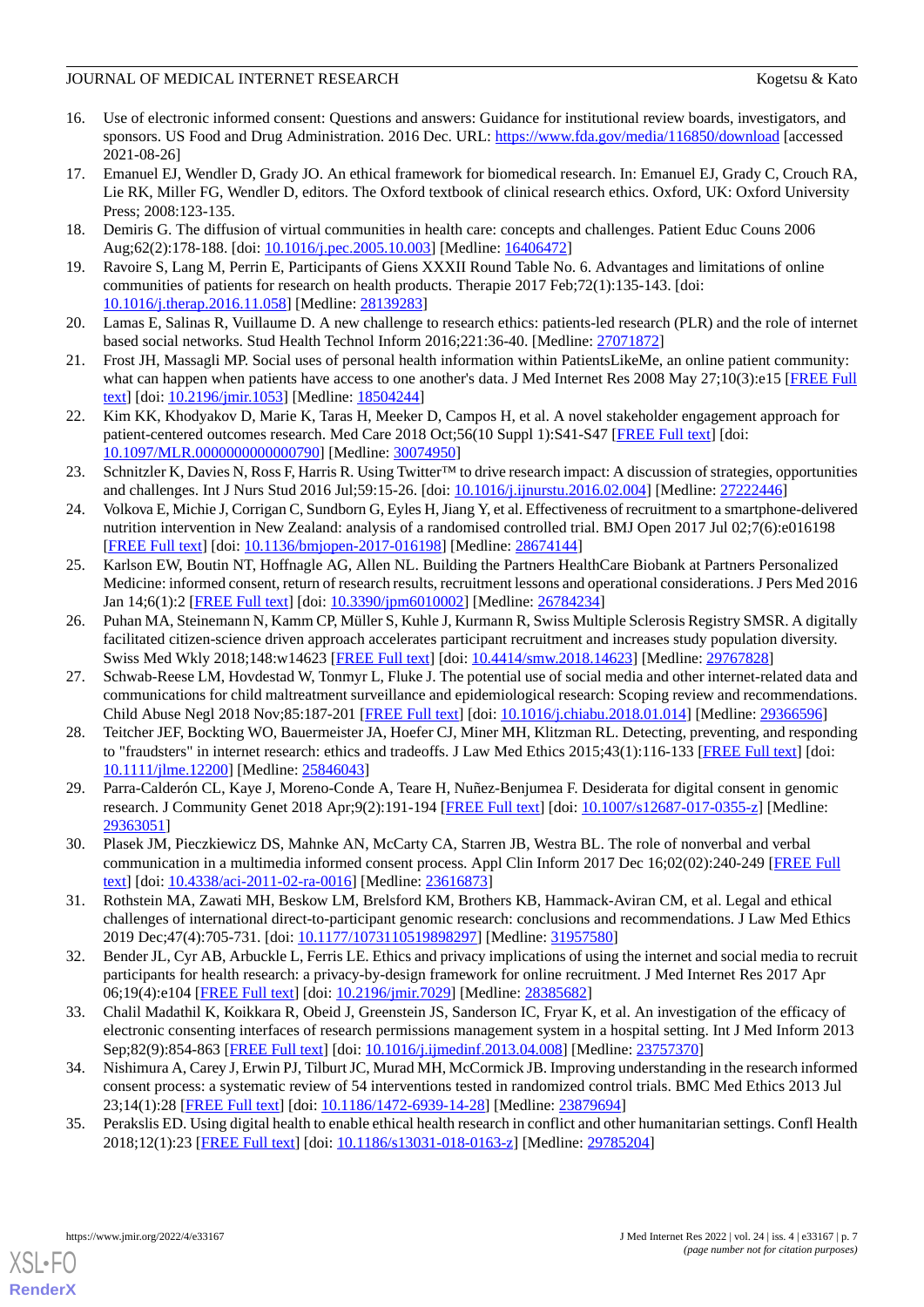#### JOURNAL OF MEDICAL INTERNET RESEARCH KOGETSU AND THE RESEARCH Kogetsu & Kato

- <span id="page-6-0"></span>16. Use of electronic informed consent: Questions and answers: Guidance for institutional review boards, investigators, and sponsors. US Food and Drug Administration. 2016 Dec. URL:<https://www.fda.gov/media/116850/download> [accessed 2021-08-26]
- <span id="page-6-1"></span>17. Emanuel EJ, Wendler D, Grady JO. An ethical framework for biomedical research. In: Emanuel EJ, Grady C, Crouch RA, Lie RK, Miller FG, Wendler D, editors. The Oxford textbook of clinical research ethics. Oxford, UK: Oxford University Press; 2008:123-135.
- <span id="page-6-6"></span><span id="page-6-2"></span>18. Demiris G. The diffusion of virtual communities in health care: concepts and challenges. Patient Educ Couns 2006 Aug;62(2):178-188. [doi: [10.1016/j.pec.2005.10.003\]](http://dx.doi.org/10.1016/j.pec.2005.10.003) [Medline: [16406472](http://www.ncbi.nlm.nih.gov/entrez/query.fcgi?cmd=Retrieve&db=PubMed&list_uids=16406472&dopt=Abstract)]
- 19. Ravoire S, Lang M, Perrin E, Participants of Giens XXXII Round Table No. 6. Advantages and limitations of online communities of patients for research on health products. Therapie 2017 Feb;72(1):135-143. [doi: [10.1016/j.therap.2016.11.058\]](http://dx.doi.org/10.1016/j.therap.2016.11.058) [Medline: [28139283](http://www.ncbi.nlm.nih.gov/entrez/query.fcgi?cmd=Retrieve&db=PubMed&list_uids=28139283&dopt=Abstract)]
- <span id="page-6-3"></span>20. Lamas E, Salinas R, Vuillaume D. A new challenge to research ethics: patients-led research (PLR) and the role of internet based social networks. Stud Health Technol Inform 2016;221:36-40. [Medline: [27071872\]](http://www.ncbi.nlm.nih.gov/entrez/query.fcgi?cmd=Retrieve&db=PubMed&list_uids=27071872&dopt=Abstract)
- <span id="page-6-4"></span>21. Frost JH, Massagli MP. Social uses of personal health information within PatientsLikeMe, an online patient community: what can happen when patients have access to one another's data. J Med Internet Res 2008 May 27;10(3):e15 [\[FREE Full](https://www.jmir.org/2008/3/e15/) [text](https://www.jmir.org/2008/3/e15/)] [doi: [10.2196/jmir.1053](http://dx.doi.org/10.2196/jmir.1053)] [Medline: [18504244](http://www.ncbi.nlm.nih.gov/entrez/query.fcgi?cmd=Retrieve&db=PubMed&list_uids=18504244&dopt=Abstract)]
- <span id="page-6-5"></span>22. Kim KK, Khodyakov D, Marie K, Taras H, Meeker D, Campos H, et al. A novel stakeholder engagement approach for patient-centered outcomes research. Med Care 2018 Oct;56(10 Suppl 1):S41-S47 [[FREE Full text\]](https://journals.lww.com/lww-medicalcare/Fulltext/2018/10001/A_Novel_Stakeholder_Engagement_Approach_for.12.aspx) [doi: [10.1097/MLR.0000000000000790\]](http://dx.doi.org/10.1097/MLR.0000000000000790) [Medline: [30074950\]](http://www.ncbi.nlm.nih.gov/entrez/query.fcgi?cmd=Retrieve&db=PubMed&list_uids=30074950&dopt=Abstract)
- <span id="page-6-7"></span>23. Schnitzler K, Davies N, Ross F, Harris R. Using Twitter™ to drive research impact: A discussion of strategies, opportunities and challenges. Int J Nurs Stud 2016 Jul;59:15-26. [doi: [10.1016/j.ijnurstu.2016.02.004](http://dx.doi.org/10.1016/j.ijnurstu.2016.02.004)] [Medline: [27222446](http://www.ncbi.nlm.nih.gov/entrez/query.fcgi?cmd=Retrieve&db=PubMed&list_uids=27222446&dopt=Abstract)]
- 24. Volkova E, Michie J, Corrigan C, Sundborn G, Eyles H, Jiang Y, et al. Effectiveness of recruitment to a smartphone-delivered nutrition intervention in New Zealand: analysis of a randomised controlled trial. BMJ Open 2017 Jul 02;7(6):e016198 [[FREE Full text](https://bmjopen.bmj.com/lookup/pmidlookup?view=long&pmid=28674144)] [doi: [10.1136/bmjopen-2017-016198](http://dx.doi.org/10.1136/bmjopen-2017-016198)] [Medline: [28674144](http://www.ncbi.nlm.nih.gov/entrez/query.fcgi?cmd=Retrieve&db=PubMed&list_uids=28674144&dopt=Abstract)]
- 25. Karlson EW, Boutin NT, Hoffnagle AG, Allen NL. Building the Partners HealthCare Biobank at Partners Personalized Medicine: informed consent, return of research results, recruitment lessons and operational considerations. J Pers Med 2016 Jan 14;6(1):2 [\[FREE Full text\]](https://www.mdpi.com/resolver?pii=jpm6010002) [doi: [10.3390/jpm6010002\]](http://dx.doi.org/10.3390/jpm6010002) [Medline: [26784234\]](http://www.ncbi.nlm.nih.gov/entrez/query.fcgi?cmd=Retrieve&db=PubMed&list_uids=26784234&dopt=Abstract)
- <span id="page-6-8"></span>26. Puhan MA, Steinemann N, Kamm CP, Müller S, Kuhle J, Kurmann R, Swiss Multiple Sclerosis Registry SMSR. A digitally facilitated citizen-science driven approach accelerates participant recruitment and increases study population diversity. Swiss Med Wkly 2018;148:w14623 [\[FREE Full text\]](https://doi.org/10.4414/smw.2018.14623) [doi: [10.4414/smw.2018.14623\]](http://dx.doi.org/10.4414/smw.2018.14623) [Medline: [29767828\]](http://www.ncbi.nlm.nih.gov/entrez/query.fcgi?cmd=Retrieve&db=PubMed&list_uids=29767828&dopt=Abstract)
- <span id="page-6-9"></span>27. Schwab-Reese LM, Hovdestad W, Tonmyr L, Fluke J. The potential use of social media and other internet-related data and communications for child maltreatment surveillance and epidemiological research: Scoping review and recommendations. Child Abuse Negl 2018 Nov;85:187-201 [\[FREE Full text\]](https://linkinghub.elsevier.com/retrieve/pii/S0145-2134(18)30026-7) [doi: [10.1016/j.chiabu.2018.01.014](http://dx.doi.org/10.1016/j.chiabu.2018.01.014)] [Medline: [29366596](http://www.ncbi.nlm.nih.gov/entrez/query.fcgi?cmd=Retrieve&db=PubMed&list_uids=29366596&dopt=Abstract)]
- <span id="page-6-11"></span><span id="page-6-10"></span>28. Teitcher JEF, Bockting WO, Bauermeister JA, Hoefer CJ, Miner MH, Klitzman RL. Detecting, preventing, and responding to "fraudsters" in internet research: ethics and tradeoffs. J Law Med Ethics 2015;43(1):116-133 [\[FREE Full text\]](https://europepmc.org/backend/ptpmcrender.fcgi?accid=PMC4669957&blobtype=pdf) [doi: [10.1111/jlme.12200](http://dx.doi.org/10.1111/jlme.12200)] [Medline: [25846043\]](http://www.ncbi.nlm.nih.gov/entrez/query.fcgi?cmd=Retrieve&db=PubMed&list_uids=25846043&dopt=Abstract)
- <span id="page-6-12"></span>29. Parra-Calderón CL, Kaye J, Moreno-Conde A, Teare H, Nuñez-Benjumea F. Desiderata for digital consent in genomic research. J Community Genet 2018 Apr;9(2):191-194 [\[FREE Full text\]](https://doi.org/10.1007/s12687-017-0355-z) [doi: [10.1007/s12687-017-0355-z\]](http://dx.doi.org/10.1007/s12687-017-0355-z) [Medline: [29363051](http://www.ncbi.nlm.nih.gov/entrez/query.fcgi?cmd=Retrieve&db=PubMed&list_uids=29363051&dopt=Abstract)]
- <span id="page-6-13"></span>30. Plasek JM, Pieczkiewicz DS, Mahnke AN, McCarty CA, Starren JB, Westra BL. The role of nonverbal and verbal communication in a multimedia informed consent process. Appl Clin Inform 2017 Dec 16;02(02):240-249 [[FREE Full](https://www.thieme-connect.de/products/ejournals/pdf/10.4338/ACI-2011-02-RA-0016.pdf) [text](https://www.thieme-connect.de/products/ejournals/pdf/10.4338/ACI-2011-02-RA-0016.pdf)] [doi: [10.4338/aci-2011-02-ra-0016\]](http://dx.doi.org/10.4338/aci-2011-02-ra-0016) [Medline: [23616873](http://www.ncbi.nlm.nih.gov/entrez/query.fcgi?cmd=Retrieve&db=PubMed&list_uids=23616873&dopt=Abstract)]
- <span id="page-6-14"></span>31. Rothstein MA, Zawati MH, Beskow LM, Brelsford KM, Brothers KB, Hammack-Aviran CM, et al. Legal and ethical challenges of international direct-to-participant genomic research: conclusions and recommendations. J Law Med Ethics 2019 Dec;47(4):705-731. [doi: [10.1177/1073110519898297](http://dx.doi.org/10.1177/1073110519898297)] [Medline: [31957580](http://www.ncbi.nlm.nih.gov/entrez/query.fcgi?cmd=Retrieve&db=PubMed&list_uids=31957580&dopt=Abstract)]
- <span id="page-6-15"></span>32. Bender JL, Cyr AB, Arbuckle L, Ferris LE. Ethics and privacy implications of using the internet and social media to recruit participants for health research: a privacy-by-design framework for online recruitment. J Med Internet Res 2017 Apr 06;19(4):e104 [\[FREE Full text](https://www.jmir.org/2017/4/e104/)] [doi: [10.2196/jmir.7029](http://dx.doi.org/10.2196/jmir.7029)] [Medline: [28385682](http://www.ncbi.nlm.nih.gov/entrez/query.fcgi?cmd=Retrieve&db=PubMed&list_uids=28385682&dopt=Abstract)]
- <span id="page-6-16"></span>33. Chalil Madathil K, Koikkara R, Obeid J, Greenstein JS, Sanderson IC, Fryar K, et al. An investigation of the efficacy of electronic consenting interfaces of research permissions management system in a hospital setting. Int J Med Inform 2013 Sep;82(9):854-863 [[FREE Full text](https://www.ncbi.nlm.nih.gov/pmc/articles/PMC3779682/pdf/nihms478389.pdf/?tool=EBI)] [doi: [10.1016/j.ijmedinf.2013.04.008](http://dx.doi.org/10.1016/j.ijmedinf.2013.04.008)] [Medline: [23757370](http://www.ncbi.nlm.nih.gov/entrez/query.fcgi?cmd=Retrieve&db=PubMed&list_uids=23757370&dopt=Abstract)]
- 34. Nishimura A, Carey J, Erwin PJ, Tilburt JC, Murad MH, McCormick JB. Improving understanding in the research informed consent process: a systematic review of 54 interventions tested in randomized control trials. BMC Med Ethics 2013 Jul 23;14(1):28 [[FREE Full text\]](https://bmcmedethics.biomedcentral.com/articles/10.1186/1472-6939-14-28) [doi: [10.1186/1472-6939-14-28](http://dx.doi.org/10.1186/1472-6939-14-28)] [Medline: [23879694](http://www.ncbi.nlm.nih.gov/entrez/query.fcgi?cmd=Retrieve&db=PubMed&list_uids=23879694&dopt=Abstract)]
- 35. Perakslis ED. Using digital health to enable ethical health research in conflict and other humanitarian settings. Confl Health 2018;12(1):23 [[FREE Full text\]](https://conflictandhealth.biomedcentral.com/articles/10.1186/s13031-018-0163-z) [doi: [10.1186/s13031-018-0163-z\]](http://dx.doi.org/10.1186/s13031-018-0163-z) [Medline: [29785204\]](http://www.ncbi.nlm.nih.gov/entrez/query.fcgi?cmd=Retrieve&db=PubMed&list_uids=29785204&dopt=Abstract)



[XSL](http://www.w3.org/Style/XSL)•FO **[RenderX](http://www.renderx.com/)**